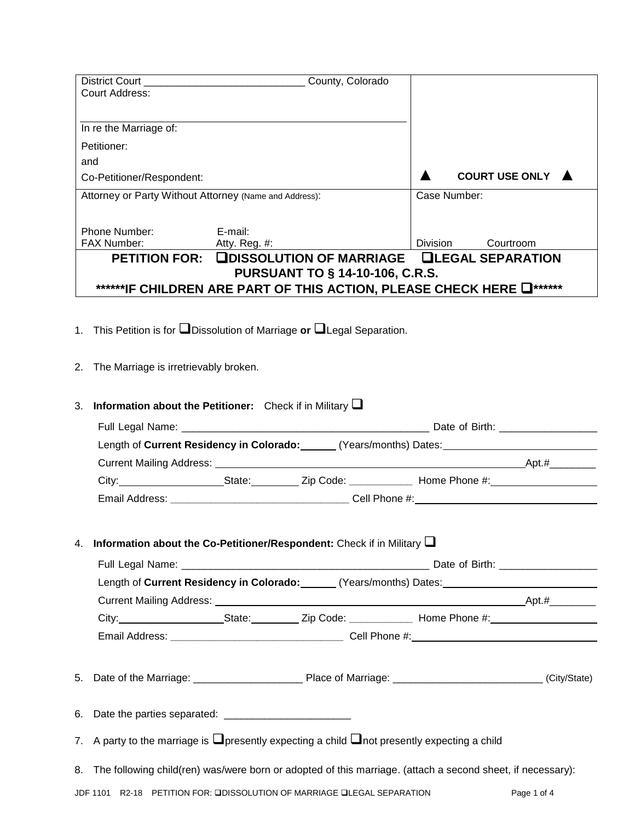| Court Address:                                         |                                                                                    |                                                                                                      |
|--------------------------------------------------------|------------------------------------------------------------------------------------|------------------------------------------------------------------------------------------------------|
|                                                        |                                                                                    |                                                                                                      |
|                                                        |                                                                                    |                                                                                                      |
| In re the Marriage of:                                 |                                                                                    |                                                                                                      |
| Petitioner:                                            |                                                                                    |                                                                                                      |
| and                                                    |                                                                                    |                                                                                                      |
| Co-Petitioner/Respondent:                              |                                                                                    | <b>COURT USE ONLY</b>                                                                                |
| Attorney or Party Without Attorney (Name and Address): |                                                                                    | Case Number:                                                                                         |
|                                                        |                                                                                    |                                                                                                      |
| Phone Number:                                          | E-mail:                                                                            |                                                                                                      |
| FAX Number: <b>Atty. Reg. #:</b>                       |                                                                                    | Division<br>Courtroom                                                                                |
|                                                        |                                                                                    | PETITION FOR: LEDISSOLUTION OF MARRIAGE LILEGAL SEPARATION                                           |
|                                                        | <b>PURSUANT TO § 14-10-106, C.R.S.</b>                                             |                                                                                                      |
|                                                        |                                                                                    | ******IF CHILDREN ARE PART OF THIS ACTION, PLEASE CHECK HERE $\Box$ ******                           |
|                                                        |                                                                                    |                                                                                                      |
|                                                        | 1. This Petition is for $\Box$ Dissolution of Marriage or $\Box$ Legal Separation. |                                                                                                      |
|                                                        |                                                                                    |                                                                                                      |
|                                                        |                                                                                    |                                                                                                      |
| 2. The Marriage is irretrievably broken.               |                                                                                    |                                                                                                      |
|                                                        |                                                                                    |                                                                                                      |
| 3.                                                     | <b>Information about the Petitioner:</b> Check if in Military $\Box$               |                                                                                                      |
|                                                        |                                                                                    |                                                                                                      |
|                                                        |                                                                                    |                                                                                                      |
|                                                        |                                                                                    |                                                                                                      |
|                                                        |                                                                                    | Length of Current Residency in Colorado: _______ (Years/months) Dates: _____________________________ |
|                                                        |                                                                                    |                                                                                                      |
|                                                        |                                                                                    |                                                                                                      |
|                                                        |                                                                                    |                                                                                                      |
|                                                        |                                                                                    |                                                                                                      |
|                                                        |                                                                                    |                                                                                                      |
|                                                        | 4. Information about the Co-Petitioner/Respondent: Check if in Military $\Box$     |                                                                                                      |
|                                                        |                                                                                    |                                                                                                      |
|                                                        |                                                                                    | Length of Current Residency in Colorado: ______ (Years/months) Dates: _____________________________  |
|                                                        |                                                                                    |                                                                                                      |
|                                                        |                                                                                    |                                                                                                      |
|                                                        |                                                                                    |                                                                                                      |
|                                                        |                                                                                    |                                                                                                      |
|                                                        |                                                                                    |                                                                                                      |
| 5.                                                     |                                                                                    |                                                                                                      |
|                                                        |                                                                                    |                                                                                                      |
|                                                        |                                                                                    |                                                                                                      |

- 7. A party to the marriage is  $\square$  presently expecting a child  $\square$  not presently expecting a child
- 8. The following child(ren) was/were born or adopted of this marriage. (attach a second sheet, if necessary):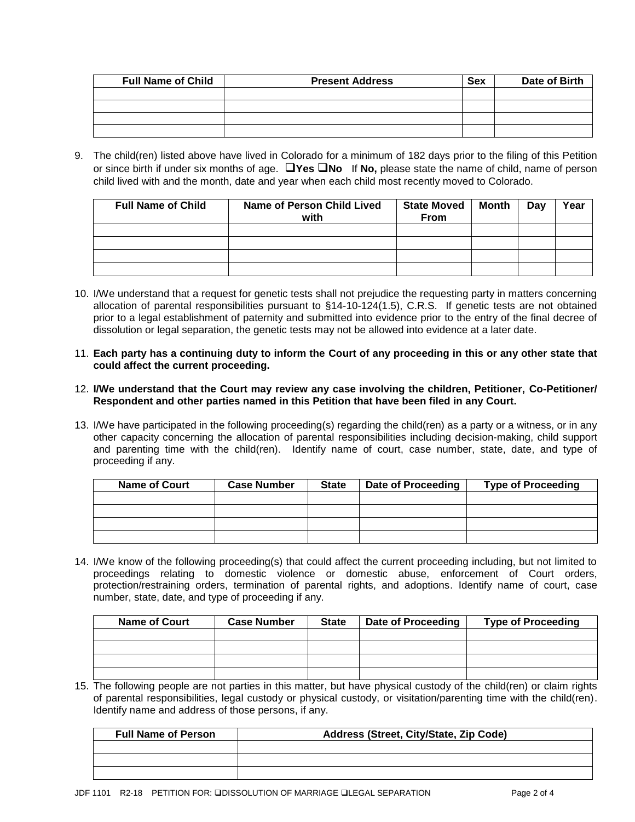| <b>Full Name of Child</b> | <b>Present Address</b> | <b>Sex</b> | Date of Birth |
|---------------------------|------------------------|------------|---------------|
|                           |                        |            |               |
|                           |                        |            |               |
|                           |                        |            |               |
|                           |                        |            |               |

9. The child(ren) listed above have lived in Colorado for a minimum of 182 days prior to the filing of this Petition or since birth if under six months of age. **Yes No** If **No,** please state the name of child, name of person child lived with and the month, date and year when each child most recently moved to Colorado.

| <b>Full Name of Child</b> | Name of Person Child Lived<br>with | <b>State Moved</b><br>From | Month | Day | Year |
|---------------------------|------------------------------------|----------------------------|-------|-----|------|
|                           |                                    |                            |       |     |      |
|                           |                                    |                            |       |     |      |
|                           |                                    |                            |       |     |      |
|                           |                                    |                            |       |     |      |

- 10. I/We understand that a request for genetic tests shall not prejudice the requesting party in matters concerning allocation of parental responsibilities pursuant to §14-10-124(1.5), C.R.S. If genetic tests are not obtained prior to a legal establishment of paternity and submitted into evidence prior to the entry of the final decree of dissolution or legal separation, the genetic tests may not be allowed into evidence at a later date.
- 11. **Each party has a continuing duty to inform the Court of any proceeding in this or any other state that could affect the current proceeding.**
- 12. **I/We understand that the Court may review any case involving the children, Petitioner, Co-Petitioner/ Respondent and other parties named in this Petition that have been filed in any Court.**
- 13. I/We have participated in the following proceeding(s) regarding the child(ren) as a party or a witness, or in any other capacity concerning the allocation of parental responsibilities including decision-making, child support and parenting time with the child(ren). Identify name of court, case number, state, date, and type of proceeding if any.

| <b>Name of Court</b> | <b>Case Number</b> | <b>State</b> | <b>Date of Proceeding</b> | <b>Type of Proceeding</b> |
|----------------------|--------------------|--------------|---------------------------|---------------------------|
|                      |                    |              |                           |                           |
|                      |                    |              |                           |                           |
|                      |                    |              |                           |                           |
|                      |                    |              |                           |                           |

14. I/We know of the following proceeding(s) that could affect the current proceeding including, but not limited to proceedings relating to domestic violence or domestic abuse, enforcement of Court orders, protection/restraining orders, termination of parental rights, and adoptions. Identify name of court, case number, state, date, and type of proceeding if any.

| <b>Name of Court</b> | <b>Case Number</b> | <b>State</b> | <b>Date of Proceeding</b> | <b>Type of Proceeding</b> |
|----------------------|--------------------|--------------|---------------------------|---------------------------|
|                      |                    |              |                           |                           |
|                      |                    |              |                           |                           |
|                      |                    |              |                           |                           |
|                      |                    |              |                           |                           |

15. The following people are not parties in this matter, but have physical custody of the child(ren) or claim rights of parental responsibilities, legal custody or physical custody, or visitation/parenting time with the child(ren). Identify name and address of those persons, if any.

| <b>Full Name of Person</b> | Address (Street, City/State, Zip Code) |
|----------------------------|----------------------------------------|
|                            |                                        |
|                            |                                        |
|                            |                                        |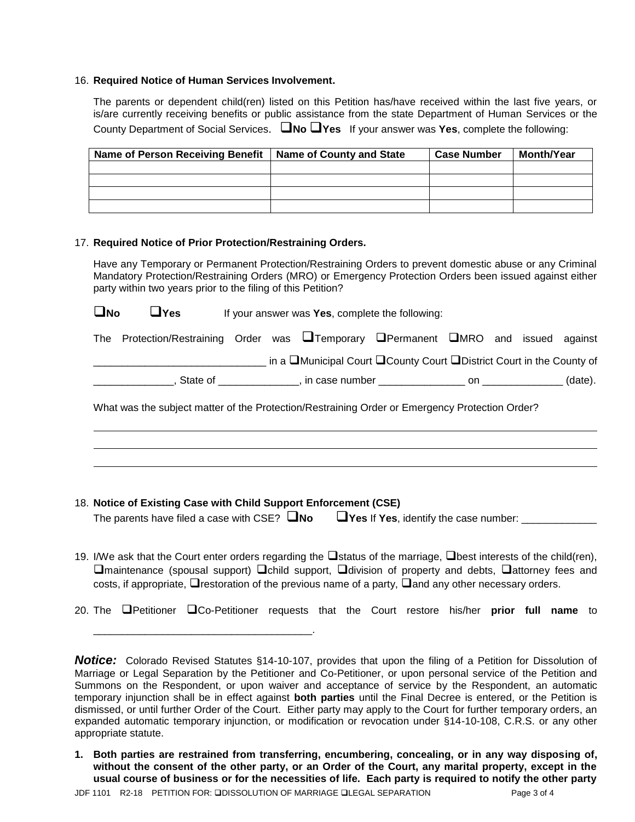## 16. **Required Notice of Human Services Involvement.**

The parents or dependent child(ren) listed on this Petition has/have received within the last five years, or is/are currently receiving benefits or public assistance from the state Department of Human Services or the County Department of Social Services. **No Yes** If your answer was **Yes**, complete the following:

| <b>Name of Person Receiving Benefit</b> | <b>Name of County and State</b> | <b>Case Number</b> | <b>Month/Year</b> |
|-----------------------------------------|---------------------------------|--------------------|-------------------|
|                                         |                                 |                    |                   |
|                                         |                                 |                    |                   |
|                                         |                                 |                    |                   |
|                                         |                                 |                    |                   |

## 17. **Required Notice of Prior Protection/Restraining Orders.**

Have any Temporary or Permanent Protection/Restraining Orders to prevent domestic abuse or any Criminal Mandatory Protection/Restraining Orders (MRO) or Emergency Protection Orders been issued against either party within two years prior to the filing of this Petition?

**No Yes** If your answer was **Yes**, complete the following: The Protection/Restraining Order was  $\Box$ Temporary  $\Box$ Permanent  $\Box$ MRO and issued against \_\_\_\_\_\_\_\_\_\_\_\_\_\_\_\_\_\_\_\_\_\_\_\_\_\_\_\_\_\_ in a Municipal Court County Court District Court in the County of

\_\_\_\_\_\_\_\_\_\_\_\_\_\_, State of \_\_\_\_\_\_\_\_\_\_\_\_\_\_, in case number \_\_\_\_\_\_\_\_\_\_\_\_\_\_\_ on \_\_\_\_\_\_\_\_\_\_\_\_\_\_ (date).

What was the subject matter of the Protection/Restraining Order or Emergency Protection Order?

## 18. **Notice of Existing Case with Child Support Enforcement (CSE)**

\_\_\_\_\_\_\_\_\_\_\_\_\_\_\_\_\_\_\_\_\_\_\_\_\_\_\_\_\_\_\_\_\_\_\_\_\_\_.

| The parents have filed a case with CSE? $\Box$ No | $\Box$ Yes If Yes, identify the case number: |
|---------------------------------------------------|----------------------------------------------|
|---------------------------------------------------|----------------------------------------------|

- 19. I/We ask that the Court enter orders regarding the  $\Box$ status of the marriage,  $\Box$ best interests of the child(ren),  $\square$ maintenance (spousal support)  $\square$ child support,  $\square$ division of property and debts,  $\square$ attorney fees and costs, if appropriate,  $\Box$  restoration of the previous name of a party,  $\Box$  and any other necessary orders.
- 20. The Petitioner Co-Petitioner requests that the Court restore his/her **prior full name** to

**Notice:** Colorado Revised Statutes §14-10-107, provides that upon the filing of a Petition for Dissolution of Marriage or Legal Separation by the Petitioner and Co-Petitioner, or upon personal service of the Petition and Summons on the Respondent, or upon waiver and acceptance of service by the Respondent, an automatic temporary injunction shall be in effect against **both parties** until the Final Decree is entered, or the Petition is dismissed, or until further Order of the Court. Either party may apply to the Court for further temporary orders, an expanded automatic temporary injunction, or modification or revocation under §14-10-108, C.R.S. or any other appropriate statute.

**<sup>1.</sup> Both parties are restrained from transferring, encumbering, concealing, or in any way disposing of, without the consent of the other party, or an Order of the Court, any marital property, except in the usual course of business or for the necessities of life. Each party is required to notify the other party**